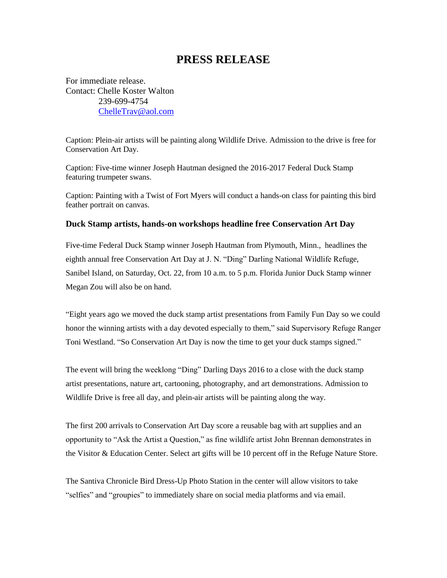## **PRESS RELEASE**

For immediate release. Contact: Chelle Koster Walton 239-699-4754 [ChelleTrav@aol.com](mailto:ChelleTrav@aol.com)

Caption: Plein-air artists will be painting along Wildlife Drive. Admission to the drive is free for Conservation Art Day.

Caption: Five-time winner Joseph Hautman designed the 2016-2017 Federal Duck Stamp featuring trumpeter swans.

Caption: Painting with a Twist of Fort Myers will conduct a hands-on class for painting this bird feather portrait on canvas.

## **Duck Stamp artists, hands-on workshops headline free Conservation Art Day**

Five-time Federal Duck Stamp winner Joseph Hautman from Plymouth, Minn., headlines the eighth annual free Conservation Art Day at J. N. "Ding" Darling National Wildlife Refuge, Sanibel Island, on Saturday, Oct. 22, from 10 a.m. to 5 p.m. Florida Junior Duck Stamp winner Megan Zou will also be on hand.

"Eight years ago we moved the duck stamp artist presentations from Family Fun Day so we could honor the winning artists with a day devoted especially to them," said Supervisory Refuge Ranger Toni Westland. "So Conservation Art Day is now the time to get your duck stamps signed."

The event will bring the weeklong "Ding" Darling Days 2016 to a close with the duck stamp artist presentations, nature art, cartooning, photography, and art demonstrations. Admission to Wildlife Drive is free all day, and plein-air artists will be painting along the way.

The first 200 arrivals to Conservation Art Day score a reusable bag with art supplies and an opportunity to "Ask the Artist a Question," as fine wildlife artist John Brennan demonstrates in the Visitor & Education Center. Select art gifts will be 10 percent off in the Refuge Nature Store.

The Santiva Chronicle Bird Dress-Up Photo Station in the center will allow visitors to take "selfies" and "groupies" to immediately share on social media platforms and via email.